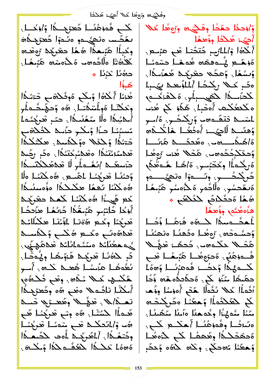كُبِ فَوَوَمُنُــا حُمْدَجِـــدًا وَاوْحُـــا. بَمُكِّنتَ وَتَبْقِيْدَةٍ وَيُدَوْا كَعْرَجْتُدَاهَ وِكْبِلًا هَبُعِمَاً هُمُّا حَقْدِيُكُمْ رُوْسُهِ كْلُمُتْا ەلَّاھُەھە ەْلْأەش*ە* ھ*َبُعْل*. حەمُل كېرُل پ چ<br>ف هُذِيَا أَكْدُا مُكَعٍ هُوِثَكُمْعٍ خَبْنُكُا وتَكْتُلُ هُولُمْتَكُفَلَ. هُو وَحَهُنفُـولُر ٱلميْدًا هلًا مَّعْنُدًا. حَيْرٍ مْرِجْتُ1ءَ سُبْئِـا حـزًا وَّـكـر حزَّــه لحَقَلاة ب

تْتِبْكُمْا وَحْكَمْ هَوَحْكُمِيهِ. هكْتْݣُحْلّْ ۿ<u>؇</u>ٮێڵؽػڟٵۄۿڮڲؠؿێڲڟٵ؞ۄؼٞڔڔڿٞؠڲ حْتَمِيكُــِمْ إِنْـُــُــٰمَلُو لَٰا شَمْكُـُـُـُدُكُنُــٰـٰمُّا وَحِنْنَا هُدِجُنَا اهْمَــع. ۞ه كُنْنَا هِلَا وَّەڭْنُا ئەھُا ھڭىڭلا ەۋەمىنىڭ كُم فَيْ أَلْ هُوكُنُهُ كُمْمَ حَقْدِكُمْ أُوْكُلْ حُلْتَبْبِ هُبُنْغُمُّا خَرْبُعُنَا هَزَدَخُنَا هْدِجُمُا وِكْـعِ هَوْنَـا لِمُؤْمَنَـا هِكْـُلائـه تَعْدَاهُ مَنْسٍ مَكْسَمٍ مُحَمَّسِينٍ مُحَمَّدَ مِسْدًا برينهضهكة المثالمشنه المثالث مصرش دً كَشَا هُرَبَكُمْ فَزَوْحَهُا وِلْحَدَّا. ىُعْمِعُا مَنْسُا هُعِيهِ كُلُّهِ. أُسِي هَكْسُلُ كَمَلًا كُمُرُهُ . وِتَعَمَّ شُلْدَةُهِ، أَمكْنَا نَائَــٰمَـلا هفَــم هَٰه وحَٰعـٰكِــدَا تعسكَا\لا . تَعفُّكْ ومُتصَّرِّيْ تَمَسكُ هُدهاُ لِمُتَنَا. هُو بِنْ هُوجُنَا هُم هُ وَٱلْمُتَكَلَّمُ هُبِي مِنْعَصًا هُوَيُحُسُلُ وِدَّتَهُـدًا. ٱلمَعْرِجُـدَ لِمُوتَ لِكَـمِـدًا كَمِهِمَا تَعْلَىٰهُمْ لَحْقُدُ عَلَىٰمًا وَجِحْدِهِ .

وَأَوْحَدًا حَمَّدًا وَقَلْيَهِ وَرُومًا كَلَّا أحي: هَكْدًا وِؤْهِمًا أَكْمُا وْالْمُرْبِ دّْتَحْدَا هْي هَزْسُو. كَوْهُــمْ فِي ـــهُــمَّــهُ هُــمَــمَــلِ حَسْمَـلِ وَسَنُعًا. وَعَجَلًا حَقْرَبُكُمْ هُمَّنَّكُمَّا. هَدِ مُحِلًا رِكْدُا ٱلْمَلَزُّعِيمَ بِيَ-بِهَ كحَنْسِكُمْ لِمَصْهِسِبِلُرٍ. هَكَفْنَقُسُمْ ه كَمْعَكُمْتْ أُهْدِياً. هَٰكُمْوْ كُلّْ هُوْت لمتسلا ثتفّوهم وُريكتشُــر. وَاسـر وَهِنَسِيهِ لَاحِيِّ فَوَدَهُ لِمَعْلَمَ وَاخْتَذَاهِ وَحِنْتُدْحُكُمُومِ. هُتْمَلًّا هُنِي وَوَهُمْ ەرگەما وڭتۇسو. ەاھا ھەقكە كَرِيْدَكُـــــــر. وتـُـــــــــــووا دَتَـــوْدِ ەُنگچسُر. ەلَّاخُەر ەْڭەسُر ھَبُنگا ھُمُّا ەُحثُّلاكُم لِلنُلْعُمِ \* فَأَدَقَتُم، وِؤُهِمُا أهدَّـــممدُّا لِـــوَّه فُزِهُــا وَّدُــا وُحسُّـەتْـُدى وَوَهُــا وَكَعْبُـا وَتَعْبُلُـا كَشَمْلَا مِكْدەب. كَحَفْ; مْدَيْمْلَلا ڤُــوهُلُمْ. هُحرُوهُــا هُبُـمُــا هُــمِ لَّكُ وَلِمَا وَحِدُ : فَوْعَهُمْ لَكُمْ وَالْمَعْ حصَّىعًا مَنَّزَةٍ ۚ كُلِّ وَحَكَّاحِدُّهِ هُوَ ۖ وَّكَلَّا ٱثۡعاٰلُا کَلا نُثۡوَلُا ۖ هُبۡ أُوۡوَٰنُا ۚ وَوَٰهَا ۖ كُمْ لِمَعْلَاتُهِ أَمْ هِ مَعْنُدًا وَحَرِيْكُنْدُوهِ مَّمَّا مُدَّىٰٓا وِكُدْهَاْ وَأَمَّا مَكْشَاباً. ەنّىركْسا وفُەزىمُسُل أَحتكــــــــور كُلــــح. ەَحقى ْكْمَا وهُعفْا كْم كَوْهِ لَا وَمِعَكُمْ مُحكَبٍ وَلَاهِ لَحَقِّهِ وَحَكْرٍ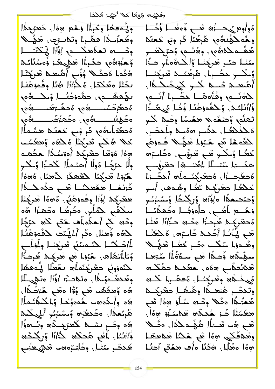ويُوصِعُ وَكَبِئًا وَهُمِ مِوَا. خَصْرَ جِمًا وهُمَّنْكُمُ فَضَيِّط وِتَمْسَوْبٍ. هُدُّكُلا وتَــــــــــه تـمكَاهكـــــــــــم إوّْا لِيَتْكُتَــــا وُهزُورهُ مِهْ وَكَبِمُلْ هَدَي هُذِ وُمِمُنُكُمْ هُثُما هَٰحثُــلا وُزُــمِ ٱهۡـمَــده مْرِيَٰتَـٰا ۖ ىجَتْا ەھَكْدَا. ەْݣْ١١/ ھُىُا وِفُەوْھُىُـا بەشىگە ، دېمەزكىگىل ۋىكىگە ەَحعَّةِ تَـمَـمُـــــــــەُ مِ مَحقَّــتِ مَعْصَدِهُ مِ مَحْمِسُـــــــــةُهِ، وحُمَّتُحُــــــــةُهِ، هُحقَّقَلُّمَّهِ ۖ فَرِ بِّ حَمَلُهُ هِنَّمَا كْمَلَا \$كُمْمٍ تْعَوِيْتْنَا \$كَمْهُمْ وَهِيْفَمَّتْتَ هؤا وُوْهَا حَعْدِكُمْ أُوتِسُكُا حَكْمَتُ وِلًا حرُجُـا هَوِلًا أَهتَـٰمَاًا كَٰحـُزًا وَۡـكُــرِ هَّزُوْلُم تَعْرِيْكُمْ لِلصَّحْدُ لِلْأَهْلُمْ. ݣَاهْهُ كُتْنُهُـا مَعْمَدْـا مْبِ حَذْهِـنَـٰهُا ههْدِيَكُمْ إِوْزًا وِهُمَوْهُمْ . هَ وَهُ أَهْدِيَكُمْ ا مَكْفُمِ كَمُلُرٍ. وَخَرِّهُا وَتَـْعَـزُا وَّهُ وِدْه کُمْ أَحْذَهَأُفْ هُنْم كُلُّه حَوْجًا ۖ لِهُ مَ وَحِمْلَ وَهُمْ أَلْمَ يَحْدَ لَلْقُووَهُمْا لَمُاتَىكُمَا كَنْـعِمَّةُ شَرجُنُـا وِلَمُوْلَب وَّعْلِلۡتَـٰعَلَمِهِ. هُبۡوَءًا شَى شَرِيحُـٰهٗ هَٰذِهِـٰٓۥَٰٓا لمُعوفوبُ حَمْرِجُنُه أَمَّ لِمُعَطَّلِ لِمُعَاظِمِ وهَجَعْشُومُكُلْ. وَتَحْصَبْنَ اوْأَلْ وَتَحْيَىكُمْلْ هُه وَهِدَهُما هُم وُوَّا هِ مَعْ هُرْدُهُ اِ الْمَاهِ وِٱلْمَاءَةِ مَا وَلَا مَا يُمْلَكُمْ مَمَا الْمَلَىٰ الْمَدَامَةِ مَا ا هَبِنَعِكَالٍ وَحَكِظُرُهِ وَمِسْبُبُو أَلِي كُلِّهِ ہُہ وِجَبِ بِسْبِهِ كَعْرَجِيكُمْ وِيَّةُ وَ ؤُااُنُنَا. لَمُعْ هَجِدْهِ ۖ جُوْااْ وَرِجْحَتْهِ هُدخَمِ مَتْنَا. وِحَاتِرُهِ هَدَ هَلِي هِذَبِ

ةُوابُوم حُدْرُهُ هُبِ وَّهُ هُدَا وَّحُسَا وهُه لِمُعَاشَى هُرِهُمَا دُرِ وِبْ تَحْمَلُهُ هُدَّــه لِمُدَوَّهِ, وَهُنَّــهِ وَجَرِيْهِمْ بِ مَّنْـا حَنّـرٍ هُوكِنَـا وَالْحَـرَهُ وأُو حـزًا وَّىكْسِ حَصَّـبِا. هَبِعُمَــدْ قَعِهُــَـا أَهُىعــد تَــد كُـــر كَــهِحْـدْدًا. لحدُنُــم وكُتُوهَــل ككَـــبِط أَنـُــم وَٱٱتُلۡتُـٰهَ ۚ. وَحَكُفُوهُنَا وَّحُـا ۚ يَٰكُنُّاْ أَ تَعتُم، وُحتَمُّدَ لا همُسُلَّ وِحْتِهِ لَكْتِر ەْݣْݣْݣْلا. خەشمىر ھەمگە بالدېمىز. لمَعْدهَا هُم هُبُوْءُ هُؤُلًا فُدوَهُم كَعُمَا وُحُكَّى هُد هُدِوْبٍ. وَهُلْتِرُه هكَّبْه مِّتَكَّا لمُعْتَدِهْ! حَعْدِقْ بِ هُحعَذِهِ أَ. هُحعْدِ جُمُّے أَهِ أَحدَّ ـ ذَا مُعْطَرُ حَقَوِيَكُمْ مَعْدَلَ وِهُـهِ فَ. أُسو وَحَكَّصَــمَدًا ۚ هَارُّٱ۞ وَرَيْكُنْدُا وَّنْشَارُنُــو فِهُــع لَمُـــع. حالُوذُـــا وَحُعَدُّـُــا هُحعْدِيَكُمْ هَٰٓبِدَٰۥٗا هذَه حـٰۥُٱٱا هَٰتُـٰا هَــِ لِّـٰٓئُكُمْ أَكْـدِهِ كَاسْبَرْهِ . هَـحْقَتُـٰا وقُدومًا مَكْنَب وضَرِ كَعُبًا قَوْمًا اللَّهُ معهَّمْه وَحَـٰهُا هُم معَةُمَّا مَّتِهُـا هُلاَنُحِمَّبِ 2009. مَعْكِيلا حقُكْلَة كَيْخُلُفْ وْتُدِجُنُا. كَعْضَبِا ݣُدْهِ وتدشير هُتعلمُا وهُبعُلا حغْرِجُلِهِ هُعزَّىكًا وضُلا وِتَّــه مُــأَوْ هِوَٰا قَبِ مععَّمَتُل کُ; هُدِيَّاه مَدْمَمَّزَةِ وَهُلَّ. هُــم هُــ هُــ;هُٰا هُهُّــه لِكُما . هضُــلا وتحككي وه أقم هكا تعديها اوەُا ەھُلْما. ھُکُمُّا ە/ُف ھڪُمُّ آھنُـا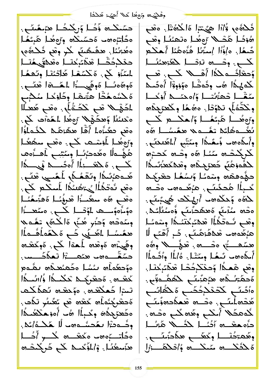حسّنده وَّحُـاً وَرِيْدَحُـا مرَّحمَّتَـــ, ەخَلتۆەھب ەَجسُندە وِرُوهُا هُرِيَّھَا ەھُ;ئىُّا. ھَھُىھُىلُ كُر وقْع قُطْرُهُ) حكْدِحُخْط هُدَّىٰٓ عُمْتُ مِنْقَدِيْهِمْشَا لمَنّزو كُلّ. هُ كَتْتَهْا هُاتّنْنَا وِتَّعِمًا هُوهُوسُا هُوِهَي أَلْمَلْكُ هُدَا مُنْسِى. هَ كِشَمَعُتْنَا هَتُمِشَا وِكَاوَحُا سُكِبِ لمَكْهَلا مْسِ كَكَتْمَلّْ. ه مْسِ هُعْمَلًا هَكْنَنُا وَهَخُوْلًا وَهُمَا لَمُهَأْمَ كُلِّ. وهْمٍ حَعَّدُوْما أَقْل هَهُ;هَـٰه ۖ حَثَـٰمَاؤُا وَوَهُمَا أَوْسْـما كُلّْعِ. هِمْعِ مِنْهُهُـا هُؤُــهِلًا مِعۡدَدُنُــا ۖ وِمَّبَّنِــبَ ۖ أَهَـــُوَهَــ كمسرةَ مَكْتَدْ: أَا أَهْتَسَكُمْ فَي حَلَا هُــوَمُّرْسُمُّا وِتُقَمُّكُو لَمُسَى هُنَّـو. هِ مَكْسَلًا الْمُنْشَرَا الْمَتَحَمَّ مِنْهُ . ەقىم ھە مىگىسۇا قىرۇسا ەقۇمگىل ەۋْمۇمىسىھ مۇقسا كىسى. مىمھىرا ومَّدَدُه وَجُبَرِ هُـَزَى وَالْكَبَى عَقَـمَــدَ<br>هِمَّسُــا لَهَــلَىٰ كَـــ وَكَــقَدِلُوَّــداُا وفَيْءَ وَوَهُدَهُ الْمَمْا كُلِّمَ وَمِكْفُدُه ەۆجھەلمە ئىشا ەخمئىچى بۇ مۇ كَعْدَهِ . هَجْعَرَجُكُمْ تَعَكَّسُمَّا وُّاسُحُاً تسرًا حُمكْعْدِهِ وَوَحِعْدِهِ يَعِكْكُمْ ەُحغْرېْتُەلُە كْعْدە شى كْعُىلُو لْكُات. وَحُعْرُجِكُمْ وَكَبِكُمْ الْهَبَ أُووَحَكْفُتُمُا ودَّده ترًا المُحسَّده بالله لِمُحْدُهُ/مُحْ. ەڭاتىسەرەم ەڭھىسى كىسىر أَحُسار ھزَمھُنُا. وَالمُؤَكَّمِكَ كُمْ جُرِيَّكُتُ

ثَكْلِثُومٍ وُّأَا الصَّبِّتِهِ وَالْكُلُّفَتَا. وَقَبَّ هُوَصًا هَٰصًـــا وَمِعُــا هِتَعَنُـُا وِمْبِ حٌمهُا. وإِوْٱا إِمِنَّكَا فُنُوهُمْا أَحْكُم كُم، وحْده نْرْمْدا لْمَعْزْهْدُ الْمَ ِكُدْهُمُ اللهُ- وَثَدَتْهُ وَوُوْوِوْاً أَوَصُـٰد*ُ* مَحْقْدا خْھِتُرْسْدا وَاوْحَدْ كَلّْ أُوْحُدا وِكْتُمُلِّي نَكْوُدًا. وَهُمُّا وِكْعَرَّجْدُه ووَهْدًا هُبِمُهُما وَاسْتَدْمِ كَبِ ىُغْدەھُلْىُدْ ئىغْسەمدا ھىغىسُسا ، ئ وأَسْكُوهم وَّسَعُدُا وِسَتِّبِ ٱلمَعْنَفِينَ. كُمِكْدُ مِمْسًا هُو وِدْهِ كُحِبْرَه لِحُقُومُكُمْ خَعْرَجِيْهُ وِتَعْمَكُعْبُنُتُمُا حؤٌءِهِمَ وَمَدَا وَسَنَعًا حَقْرَبُهُم كَجِلًا هُجِمَّىًـهِ. هَزْهُـــەەب ەتْــە لَاهُه وَمِكْدُهِ أَرَيْكُتْ هُيَّبِئَبُّ. ەدە مْآىلُ ەھھَدَّىلُ ۋەمْئاگَـد. وهب سُـوتَـٰهُـلُمُ هَـٰهُـٰہُـٰدُلَّـٰـٰہُ وَمِنْـٰہِ کَـٰہِ مِنْـٰہِـٰـٰلِمَـٰـٰلِ هَ ُهُده و هُدَفَنِكَ . كُمْ أُقْبُ لَّا أَمِكُوهِب تَنْعُلُ وَمِئْتُلٌ. وَٱلْمَلَا وَٱشْعَلَٰلَ وِهْمِ هَمْدًا وَحَتَدْرِحُحْا هَٰذَكَرِكْتَا. ەَحكَتْتُــدُه مَرْمَنْتَــم للفُعُــوَنُـم. ەُقُبُّ كَتَحْدِدُهُبِّ مَحْقُلِبُ ھُدُه أَئنَّى وَدْ هُ هُدَادەؤَننَّى لُدْهَكُمْ أَمْكُم وِهُدَاهَكُمْ وَدْرُهَ . دَّوجِعْتِ مَنْ أَدُّبَ الْمُسَلَّلِ مَّائِسًا وهُمتِدُنْـــا وكَعَــــــم مكَحَنُتَــــم. هَ لِمَشْكُلُ مِ سَمَلاً مِ وَأَصْلَاهُ أَزَلَ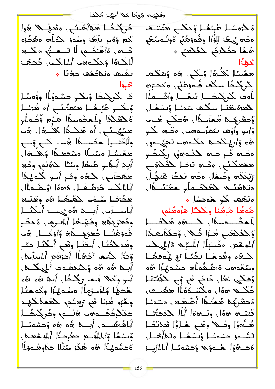وفْحِيْهِ وَرُوهُا كَمِدْ أُحِيْءَ هُحْدُا

َحۡوِيَكُنَّصَٰٓا ۚ تَعَدُّلُّكُنَّبُ ۚ ، وَتَعَوُّلُّكُمْ ۖ رَّهُوۡٓا كُمْ وَوَّى لِلَّكْزِ وِمِنُوفٍ لِكَلَّاهِ وَهُكْزَهِ ثم منْ صَدَّمِهِ وَالْمُسْمَعِ لَهِ مِنْ الْمَسْمَعِينَ مِنْ لَّاحُدهُ! وَحكْده صلَّى الْمَلَحَدُ . حَحِفْ: ىگىھ ەتلاككە دۇئا . ۿڔۏ۠ٳ كَرِ كُرِيْكُمُا وُحُكِنٍ حَشَّوْبُاً! وِؤُوسُا وَمِكْسٍ هَبُسُصًا مِتَعَبِّسًا وَ مُؤَسَّلَ هَكْتُكُمُّا وِلْمَحْمَىمُّا هَـرُمْ وَّحْـملُر هِمَّهُمَّى ۖ }، أو هَكَــدًا لَكُــدًا. 5هـ وِلَاكْتِبْرَا ۚ هِئُسِيدًا ۞بِ. ݣُبِ وْبِ همَّسُلِ مِمِّيلًا مِتْعِصِدًا وَلِحُسَّةً . أَبِهِ أَحَكْسٍ هَيعُا وِيَتْنَا لِمَوْتُو وِدْهِ هَهُدَّنِي. لَمَدَّه وَضَرِ أَسِرِ كَمَدَهُمَّا اْلْمَلَكْتْ خُرْهُنْفُتْلْ. هُرْهُمْ أَوُسْفُتْهَا ا هدَرْحُه سُمُّ حَصَّهُ أَهُ وَهْلَهِ ألمعسأم : أبك هُ يُ جِب أَمْكُنُا ا وِحُعرُجِدٌاه وِفَزَوُمِعُا أَلْمَسْوَدٍ. هُمَحَّمِ فُەوْھُكُما خَعْرَجِمْلُوْهِ وَٱوْكُمْمَا. ۞ وِهُـه حَكْتُـا . أَمكَّتُـا وِهْــم أَمكْتُـا حَتّـر وْدُا كَنْبِ أَحْدُمُاْ أَدْرُهُمْ ٱلْمِيلَيِّينَ. أبِهِ هُه هُه وَحْمُدهُ ءِد ٱلْمَهْكُمْ . أَسٍ وِكَمِلاً وَّسَعَ رِيْكُمْكُلْ. أَبِكِ 5ُهُ 5ُهُ هَجُمْلَ وَلِمُوْجَوْعِلًا مِنْحَمِيْزًا وِخُصْعَلَا وهَبْوْ هُنْمًا هُمْ رُوْسُمْ لِمُقْعَلَمَكُلُوْتُ حنْتَدِدُكُـــــــــه = هُنُــــم وحُرِبُكُـدُــــل أَلْمَاهُوْهُمِــدٍ. أَبِــدٍ هُو هُو وَحِسْدِيُــا وَسَمُّا وْالْمَلَوُّسِعِ حَعَجِدْا ٱلْمَوْهَعِيمِ. هُحِشُولُهُ أَ هُو هُكُرْ عَنْتُلَا حِكْوِهُـوفُـأَ

هَكُومُا هَبِيُعُا وَحِكْبٍ مِنَتَّبِدِ ەدە كەڭ لِلُوْاْل وقْدۇھُكّ ەُوڭمىگى ھُمُّا حثَّلاَكُم لمُلْعَبُم \* تحجئوا ھمُسُا ݣْلُرُهُ| وُلْكُمْ. ۞ه وُهكْت ِكْرِيْكُمَّا سِكُفَ فُءِهِمَّى وَمُدَّرِهِ ـأهت ـكْدِكْــَــا تُـمُـــا وِاُثْـــولَا ا كُعِدَهُ تَعْتَبَلَ سَكُدًا مَعْدَلَ وَيَسُمُّلَ. وَحِعْدِيَكُمْ هُمَّنْدُاً. وَحَكَمٍ هُدنت وَّأْسٍ وِأَوْهَا لِمُعَنَّكَ مِنْ دَيْنَ كُلْسٍ وَهُ وَلِرِيكُمْ حَكْمُهُ عَنْيُهُ وَهِ ەتسە كىر تىلە كلگەھۇر رېڭىگىر ھكَعنُدبَّى. ەتىھ ترتىل لمشَلاشى رْتِكُلُاه وِصَعُلَ. ەدْھ تَىْضُرْ هْتِكُلُ. ولَدْهَنَـــــــد للظَّلْفُـــملُر حفَّنْنُــدُّا. ەئھما گو ھُەھسُل ھ هُوهُا هُرِهُمُا وِكْلُمَا فَزُوهُنَّو أحدً مسمًا. لم مَنْ مَنْ الْمُسْمَلِ وَحْكُحْفَبٍ هُـزًا ثَــلا . وَحكَمَّـعـدًا مْكَرِيدًاهَ مَجْمَلُوا ٱلْمُبَعَدِ وَالْمَحْمَدِينَ لحدةه وهُدهَا بدَّنَا رُو لِمُدْفَعَا ومَّهُده عَاهَدْهُ مَالَّكُ حَسَّمَ الْأَمَّ وَٰڡػؠ ٮٚڠا. حُرَحٌ هُم وَمِ ۖ لِكَانَتِنَا ۖ دُكْبِهِ هِوَا. وَكَتَبَدَّهُ مُلْ هِهُدِهِ. هُحعْدِبُهِ هُمْنَهُا أَهُبِعْـهِ . مِنْمَـا كَتْسْرَهُ هَدًا. وِتْرَهْدَا أَلَمَّا لِكَحَتَّتْهُا هُــزُّهوُا وِشَــلا وِتَعــو هَـٰلَوْٓا تَعكَّمْـَـٰل تسَّـوز حتىمـُــا وُيسُعُــا وتَــالَهُــا. هُدرهُوْا هُدوُ لا وُحِسْمِيْ الْمَاءُبِ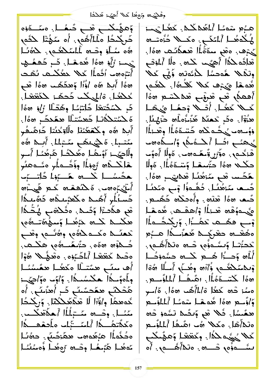وَعَهُنَكَبٍ ثَنِي شَهْلٍ. مَنْسَوُوه صَّحْكُمْ مِلْمَاأُهُم . أَه مَكْهَنَّا ۖ كَثُم ۖ ، وَ مُاْوِ وِدْهِ اْلْمَحْدُو، حَاوَيْنَا يُمِنَ رُأَةِ 50\$ هُدَهَا. كُـرٍ كَفْسُمْ أَنتَرَه من أَثْمَالُ لَكُلِّ لِمَعْكُنِيهِ يُتَّقِيبُ الْمَامِ أَبِيهِ الْمَوْءُ الْمُؤَامِ وَالْمَحْكَمَى الْمَعَامِ الْمَنْسَ مُلْعُدًا. ةُ/لِمِكْم ضَحِعَة لِلْمُعَمَّدُ. كَرِ كَمَّمَّتَهْاً خَاتِّئُكَ وَهَدَّلَا رُوْ 16% هَ لِمُتَنَكِّفُ لَهُ حَصَنَتْ اللَّهُ مَعْدَكُمْ وَوَالَ آبط هُو وكْمْعَنْنْا ولَلْوْكْتُا خَاهَّىفُو مَثْبِهِ. هَڪْمِعْمَ سَبْهَا. أَبِيهُ هُوَ وِلَاحِيِّ زَوَّىعُا وَهُكِنَّا هَرِهُنَا أَسِرِ هْلَكُــدُه رُودِئُا وِذَكَــدِئُـر دَـُــدِمَنُو هجُسُل كَل هُ جَرْمًا جَاتِبَ مَ تَسْرِهُ مِنْ مَكْفَدَهُ . ــــمَّ هَيْرَ كَسِبْلُهِ أَهُيهِ مَكْعَبِّيتِهُ وَهُيَبِهِ هْمِ هِكۡاتَۃٗا وٖۡثَــدُ. هفُـلاهۡــم لَٰےَـٰدُا هكْسِمْ كْتُرْهُ حَرْهُمْ وَسَوَّْةَ تَدْهُمْ تمصَلُّكُ مَكْسَهْكُمْ وَهُنُّسُمْ وَهُرَ كُــدْوْه ههُه. حَتَّمضُــهُم هكــم. ەتىم كىقتىل آلمڭبۇە . ەتىۋىلا شۇا أَه مِثْ مِمَّتْ لَمْ مَكْفُ هُمُسُنُا ا وِلَمَوْسَلاًا هِكْسُسُلًا. وَٰأَوَّتَ دَوَّاجِيَةَ هُتَـٰكُمْ هُمُحِسَّنَٰعٍ كَـٰٓ أُهْنَنَـٰۖ ﴾ أُه خُوهِهَا واوُّٱا لَّا هَذَهَكُكُنَّا. وَرِجُحْحًا مَنْسَا. وِحْسِهِ مَتَّبَلْلًا أَحْذَهَبْ وككتفك ألملت يتملم وأحقفك ەكْتْمَلّْا ھۇھُدەب ھكَرْكْتِبْ. حەمُنْل مُوهُما هُبُسُما وِحْده رُوهُما وُومُنُنُما

ههُم متوسِّدٌ. مَكْمَدَ الْمُحْمَدِينَ لْمُحْدَمُهَا ٱلْمُكَبِّ. مَكَنَّلا خُزْدَتُنَهُ حَجْفٍ. وَهُمْ سَفَقُلًا هُمَكِّلَتِ وَوَاءٍ. هْلِثُم حَدًّا ۖ أُههُما ۖ حَده . وَلَا أَمْلُوْتُم وِلْكُلا هُءَدْسًا لِمُأْثَوْلَةَ وَلَى كَلا هُدهُا وَيُجْ مَلا كَلاً مَا اللهُ مِنْ الْمُدَمُّونَ أُقْعَمُهِ شَيْ شَرْوْبٍ شَمْلَتْسُعِ 30أ كحلاً كَعُصًا. أُصْلاً وَحصُلٍ مَحْمِصًا هِزُوَّا. وَكَرِ تَكْمِلُهُ هُزُمْوُها وَالْتَرَامُلُو وَوُوسِهِ الْمَحْمَدَةِ الْمَسْكَةِ الْمُسْلَمَةِ مِنْ الْمَسْلَمَةِ مِنْ الْمَسْتَمَرَّةِ مِنْ الْ لمعاصر المُسْلِمُ الْمَسْلَمَانَ وَالْمُسْلَمَاهِ قْزَنْكُمْ ، وَفَرْرٍ قُنِعًا وَمِنْ وَوِلًا أَوْقُ حكْمِهِ هِوَا حَتَّمِيهَا وَسَوْءُلًا. وَوِلَّا هَكَــد هَـــ مَنْهُدُ الْهَدْتِــِ هَا ا كُنف مُنْهُنُا. دُفُوهُ أَوْبِ وَكَنُا. كُتِّف (16% مَحْلُونَ وأوصلاته كُتَّفْتُص يُ عَوُفُوه شَـزِياً وَاهِقْـم . شُمشا وْبِ هِمَّــم تَعَــُزًا. وَرِيَكْـحُــمِلَّا ههُشم حقوبٌ ٨ هُمُ اللهُ الصُّرم بْحجّْتُمْا وَسَنْدَوْهِ ۖ دْ هِ مَلْأَهُدَمِ . أَلَمْهِ وَحَـــزًا هُـــع كَـــعه حَشَّمَوْحُـــأَ وْسِلْمَحْتَّفُ وَٱلْقَامِ وَهُنَّىٰ ٱمْسَالَ 16هَ 80) لَكْتَبْدَهُمُاْلِ اهْبُهُمْ أَلْمَلَةٌ مِنْ مِنْ ەممُز دُرە كَعُدْ 1،3مُلاً ھُە سۇل كامىر وَٱوۡٓىٰــــــو 1ہ ٗا شَعْــا مَّـــوا ٱلْمَلَوَّىـــو همُسُل: ثَلا هُم وُبِثَيه تَشُووْ دُه ونَدْأَهْلِ. وكَذَلا هُبَ رَهُبُهُل ٱلْمَلَوُّبِ كَمِلًا يُؤْمِمُ الْمُتَقَدَّا بِمَحْمَدُ مِنْهَمْ الْمَدّ ىنْــــەؤەر شـــــە ، ەنكاڭھَــــەر ، أە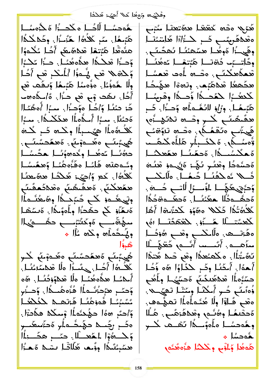حُوصِيًا لَأَدَّا وكُحِيُّا وَجَوْمِيَا هَٰبُهُلَّ. مَبْرِ ݣَلْاهُ! هُنُوسُ!. وِحَمْكُمُ! هِنُوْتُمْا هُبْتُمْا شَدْهُمْ أَكْرُ عُكُووُا وَحِدًا هَكِمًا هِمُوهُنَا. حِزًا عَكَرًا وَجِدْهُمْ هُم مُحَوًّا ٱلْمُكْرِ هُم أَحُلُّ وِلًا ـِهُوَٰٓئًا. وَوُّوۡئًا ۖ ضُبۡطًا وَٱلصَّٰفَ شَي أُحُلُ. بَقْتَ فِي شَيْ دَءُلْ. ةُاسِلَاهِ مَا حَٰذٍ حَبُّلًا وَٱحْلَا هَوَجَّاً. مِثَرًا أَهْهَّمَّال هَجْعُلُا. مِيرًا أَحِذُوماً هِكَكْحُلًا. مِيرًا كَلُّدُهُ مِلَّا هِيُمِيطِ الْمُحِيَّةِ وَالْمَدِينَ مِنْ مَنْ مِنْ مَنْ ۿۑڋ*ؠڵ*ؠ؋ۿٚ؎ۅ۪ٛٮڵٜ؞ؚٷۿۿڞۺڵؠ؞ؚ حەُنُــا مُەھُــا وِكُدەوُنُــا ھِـحُـىئُــا وئـــومآرو هَائــا وهَزُّوهُئــا وَهمَّسُــا كَلّْهُ]. كُمْ وَاحِيْ: هَٰلِكُمْ هُمَّسْلًا ھكَعكْنَىْ. ەُھگىگىنَ ەھْلاَكْمگْنَىْ وتي هُــوف كَــو حُـبَرْهــدًا وهَـعُنُــواًا ەَبْهَّزْ ۚ ݣُلْ حَهْجَٰۥ وِلَمْوَهُمَّا ۚ وَيَسْمَلُو المرْصَـــــــهُ صَبْتَنْتُمْمِـــــمْ مَــْهَــــمْ الْمَــــمْ ويَمْدُه أَنَّهُ وَكَنَّهُ عَالَمَ **ئگرؤا** ھُيِّبَٽُ هُمْڪَشَٽُ هِ هُڪُوْٽُ لُکْر كَلْـدُهُا أَمَـدُ مِنْ مِنْ مِنْ أَشْرَبَهُ أَشْكُرُ . أَمكنا مذهُومُنا ولًا مْدَوَّوْضُلْ. ۞ه وَحِمْسٍ مؤجزَتُ عالَما فُزْهِ هُنكُماً. وَحِسْرُ تَسَّبُّدُا فُوهُنُا فَرْتَعِيهِ لِلْكُلُّطُ وَّاحِبَ «هَا حهُكِثَه أَا وَسكُمْ فَكَاحَتَا. وَلِكَ وَوَا لِمَعَكَلَا. حَمْدٍ هِجَدَا همَّبِئُبُدًا وِؤَمِهِ هَٰلَاتْنَا بِشَكِّ هُمُّوا

هُكُولاً هَدَه لَحَقَقَدَاً هُدَّسَدَاً مُتَبِّبٍ هِ هُدُهُومُهُ جُمْعِ مِنْ الْمُسْتَقَالِمَ الْمُسْتَقَالِ وفَي أَا هُوهُا همُعْنُا نُعَصُّبُ. ودًاتـــبّد دُةتــا هُبْتقــا عَمْنــْـا قىمگەنگىئىن. ەئسە ئاەت قىمئىل هكَهِعُل هُدَهَيْمٍ. وِنَمِوْا هِهُمَا كُحِعْدُ إِلَّا حَمَّدَـٰهُا وَّدِحُا وِقْرِبُهُـا هَٰٓبَهُــا. وِرُاو لِلسُّــواْنِ وَجِــزَا. جَــر هفَىقَىنَے لَک وِتَسِه لَكَانُكِمْ أَهْلَ كَ تَبْسَ مِنْقَهُكُمْ بِهِ هُدَهِ لَلْهُرَّةَ لَهُ *ۊ۫*۠ڡٮۢٮۜڲٚڔ؞ٷڂػؙٮڹڵڔۿڶڵڷڡػٮڡٞٮۜ ەھكشىسلان ەدەئىل ھەھكىل ەَحسَّەكُا وقْتُبْ تُنَهُّ: ەَنَّىھۇ قْتُنْجَە ثَـــلا شَمْحَفُنُــا ضَـمُــاً. هلّا تُحْـــم وَحَبَّيْ هَكُمُ ـــا الْمُـــــوُلِ لُلتَـــبِ حُـــــوهَ . هُحِشَّــوَيُّلْا ـهِعَيْنُـــل: هُحِفَّــوقَوَجُلَا لْلاُهُنُكُلْ كَـُلْلا هِهَّوٍّوْ لَكْتُبُـهْا أَهُل كَعِمْتِ أَلا هُــزَوِ. كَعْتَقِدَّلْ اهْ ەقزتىھ. ەللىكى وقىم ھۆئىل معدَّه صدًّا أَسْسَمَهُ وَ حَقْوَلَ اللَّهُ عَقْدَ تَهَّنُّهُ وَالْكَمُعَدُّا وَمَّع صَدِّ مُتَمَّا أَهِهَٰلَ أَحْتُبُلُ وِضَرِ حَكَّلُوُا هَءٍ وَّحُلُ حمَّبُوءاُا هُدْهَدَسَّىٰ وَحِسَّىٰ الْمَحْمَدِ وَالْمَحْسَ ؤُهاً مَبْ كُبِ أَمْكُنَا وِمَثْنَا نَصْحِيهِ. ءهُم قَـاوًّا وَلَا هُنُـه أَه أَا تَعَهُّـهِ . ەُحثىمُـا وەئـُـە ومْدَفَرْمُــى. ھُـلُا وهُوصسُل وَأَوْوُسِيْدًا تَنْقَسُفَ لَحْسِرِ هُ حِسْلِ \* هُومُا بُازْبٍ وِ تَكْتُا فُرُومُنُومِ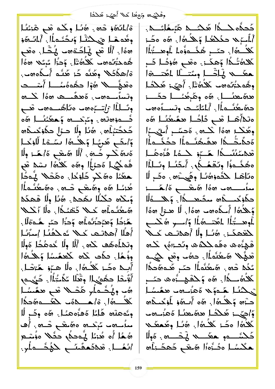وفْحِيْهِ وَرُوهُا مَحِلاً أَحِيْءَ هَجْجًا

ة/لمَنَّة دُهِ. هُنَّا وِكُمْ هُمْ هُنْنَا وِهُدها هِيكِنْنَا وَبِحُبُدءاًا. ٱلمَنْدَهُو ههُا. أَلَّا هُم يُبْلَحُةهم يُخْبَا. وَهُم هُمحْتُمُه مَا كَلَاهُنَّا. وَحَزًّا مُبِئَلا هِهَا ة/هكْكُلا وِهُنَّه كُ; هُنَّه أَسكُوهب. ەقدېئىسىلا ھۇزا جىھەەمئىسىلە آئىسىد وتسأسبوه فعفسها وهؤا كلا وئالم أزارته وده وتلكسوهم هم ثَـــووه تو . ومُرتَــــــــوه وَحمكُمُنُـــا وَهُ كَحكَتْبُلُم . هُنُا وِلًا حَـرُل حَكَوْكَــدُ ه وَّامكَـــوْمُــا وَجَدْهُا بِمَنْــوْمَا لِّاوْحُــا ەُنەڭلىر خُنە. ٱلْلَّ هُنْفَعِ وَٱلْعَنْبَ وِلَٰلَ هُمكُهَا هَجَهُّا وهَ مَلاَّهُا بِشَدْ شَر هَكُمُا هَهُكُمْ خَاوْمُا. هَفْكُمْ لَهُءَكَّا هُذَا أَهُمْ وَهُنْفَ صَهْدٍ. وَهُنْفُطُلُهَا وَْحْدَه حَكْمُلا بِمُحِكِ. هُنَا ولَا فَعِكَمْ الْمَحْلُواْهِ مَحْلاً كَتْعَمُواْ. وَلَا أَحْلا هُزَدًا وَهرَدَزُنُها وَلَى اللَّهَ عَنْهِ هُـدَةَ . أَهْلَا أَهلاتها حُلا عُمَلَطْتُلِ إِسْرَتُنَا وِتَمْلُوهُڢ ۚ خَلَقَ ۚ أَلَّا ۚ وَلَّا خُوصُحُلَ وَوِلَّا ۖ وِزُهُلَ دِكْتِ كَلَّهِ كَعْمَسُلَ وَلِلْهُ وَا أبِهِ وَحَـٰٓ; لِكُـرُهُ لِ. ولَا هـرٍّ; لَهُتِحَـلَ. رُمَّرِيْدَ الْمَنْكَمَّةَ الْمَرْمِثْمَا عَكَّمَ الْمَرْمَوْمَ مَنْ مَنْ ھُ۔ ویُّشُـٰہ مُن کَـُــٰلا مَــِ محَـُـئُــا كلاُ وأي قائم كلام كلاً ومُحدُّداً وِيُوهِنُو فَائِلَ وَدُوهِئَا. وَهُ وِضَرِ لَٰل ملائس من من الله عن الله عليه من الله عليه الله عليه الله عليه الله عليه الله عليه الله عليه الله عل هُهُا أَه هُزِيُا إِيُّوجِهُ حَثَلاً وَوُسْتِع انْمُــا. قَدْكَمقَتَــم حَجُثَــملُـر.

حُدمُه حَـــدُا مَحْـــد مَّبَـمُكَــد. ٱلۡمَـٰٓٓٓٓ لَا ٱلۡ ۖ وَ ۖ وَ اللَّهُ ۖ وَ اللَّهُ وَ وَ صَـٰٓٓ وَ وَ صَـٰٓدَ كْلُهُ أَ. حَيْبِ هُنُّدُوْها لْمُوهَبِّلَا ڵڵڷ*ۿؾ۠*ؗۮۢٳ؋ڡڬڹۦڡۛڡٛؠ؋ؙۏ*ڂ*ٳۻؘڔ حكك لحَاثْها ومُتسْلًا لمعُتسوْه وِهُمطَّتَدُه ما لَلأَهُ تَا. أَحِيْ: هَٰلِكُما هدەً هنگ , هُو وهُرهُئے محَصّ دهَٰ حُثَّــه اُل أَلْمَـٰلَّــد وِتَســأه ونَدْأَهْـا مْــِ دُادُــا مْـمُمْنُـا هُو وهُكْد هِهُمْ كُلْهِ . هَجْمَدِ أَمِنْكِمُ! هَٰدِمُتُکُمْلَ هِفَىغُفْــهِ)ْلَ حَڪُنَّــهِ)ْل هْلِمُمُنُنُّــدًا هُــَزِ لِلْـدُا قُزُّهِ صُلَّــ هِ هُشُوزًا وِيَـقَـمُــكِّي. أَيـضُـَـل وِيـَــالْمَا ەئاھا كْثُەزەمُىلْ وفَى آرە . ەكْ لُا مأكس من الله عليه المسنى بن المسنة حكَوْكُمِيكُمْ مِمَّتْعِيْنِكُمْلِ. وَجَلَابِيَقَالَ وَ كَلاُهُ الْمُلَّاهِ مِنْ اللَّهُ الْمَسْتَرَارِ مِنْ الْمَلْ لْمُوهِــنُّهُمُّا لِمُعْنَــدِهُمُّا وَٱستِ هُكْسَــو لِحْقِهِكَـزِ. هُنُـا وِلًا أَهِلاَتُـِهَا كَـلًا فَهِنُّه هِ هفَمَلَكُمْ هِ وَنُصِبَاهُ وَ لَكُنَّهَ تَعَيُّمُ الْأَمَعُنُمَاً . دلَّه وقع لَجُيمَ مُكُمْ دُهِ . هُمْعُنُماُ | حَبْ هُــهِ هَدْ كْلُهُ حُمَّا. هُه وَ حُفْمِ أُهِ مَحْمَ أَسْمَاسًا هُـوَٰىٰ وَمَزْدِهِ مِهْمَشَا حِبْرَهِ وَجِلْحُدُهُ لِي هُو أَسْهُوْ لِمُؤْمَنِكُمْ وَ وَّاحِيْءَ هَٰلاَئُمَا هِهَٰىهَنَّا هَمْنِصْهِ كْلُهُا وَحُـزٍ كَلَّـهُا. هُنْـا وِهُعِعَــٰهِ كُحْشُـــو هِعَيْــــــــــــــــــــو فِي وَالْمُ ملَمْسُلِ وَضُرُّواْ وَهُنْ وَهُوَ خَيْفَ وَلَمْ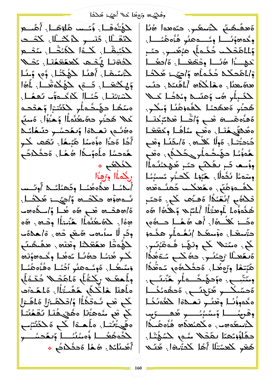ﻼﻳُﻨُﻪﻗَـﺎ. وۡتَــٮ هَاوَقَــا. أَهۡـــــــــو حْتَفْ). دُنْبِ جَرْجُتْ). كَدْت حْكَيُفْ]. كُـهُ/ حْكَمْتْ]. مَمْصُـم لأدُقْنَا لِمُشْعَدِ لَاحْمَقْهُنَا. حُصْلا لِّسْمَعْهَا. أَهنُا لِلْهُكْنُا. وَّى وَّسُا وَّلِمَحْتَشَـا. كَـــمَ حَدُكُمْشَــا. لَمُوَّا حْشَتِنْسْلِ. كُنْسال كْلانْسوتُو نُعْصُلِ. ممّعُا حهُخُماُرٖ حكّتُبْ! وُحقَّده كْمَلَا هُدْرَ دِهَمْشُدَاً وَهُرَّوًّا. هَمكُ ەھُنُــە ئىـــاةا وِّىـمُـحـُب مِنْـمُائــد أَحًا هَجَٰا هؤُهِمًا هَبُعَمَا. تَنْقَفَ كُنِّي هُەھسُا ەلُەوُسكُا ھُـمُـا. ەَھڤَـلاَصُـ لمُلْعَبِينَ انْحَدْأَا وَرَجْزًا أملائسا هدُه هُمُسا وِكَعِمُائِيها أُويَّست ئَــەرەۋە ھَكْتَــرە ۆُلْچَيْـــز ھُكْتُــل. ة/المحقَّسه شَع لَهُم مُصَلٍّ وَٱسْكُمُوهَ ابِهِ مَا الْمُتَعَمَّلُ الْمُنْسَمَّا وَحْدِهِ . اهْمَ وِدِّرِ لَا سألها اللَّهُ هُو شَهْدٍ. وَأَلْعَلَاهُ لِحُهُوَخَّا مِعْقِلِمَا وِمْلَهِ . مِفَيْضُبُ كُــرِ هُـٰٓئِــُـل حَـهُنَــل عَـهُــل وِحْـــهِ وَيَــهِ وَاللَّهَ فِسَْعُلٍ. هُوِشُوهِيُو أَثْنَا وَفُزُوهُنَا بِلْمِعَـٰهِ رِكَتُمَاهُ بِلْقُـُـٰبَةِ سَـٰهَمَلُومِ هِ أَهِنَا هَا تُكُمْ هَقَتْتُهُ الْمُحَافَ كُم هُم نُـهتَكُلُّا وُٱتْحَكَّـرْۢلِ مَاهَـتِل لَّحْمٍ مُوَهُرَا مَعْمَى مَثَلِّكَ الْمَوْسَلِمِينَ مِنْهُمْ مِنْ الْمَرْ ەقچىتىلى ەلمھەلگە ئىكتىتې لِحُدْهُمُـــا وُْمِمُنُنْـــاً وَبِـمُصنُــــو أَهُىلُكُمْ. شُمُّا ەُحثُّكْلُابُ \*

ەَھقىقىلَ خَسْمَىر. حَدْمِدا شَا وِكُدەووُسُـــا وِشَـــدعسُو فُزُّدهُمُــــا. وُلْمُلْكُنْكُ دُكُمْلًا هَزْهُمْسِ. حَمْع تَحْهَـــزًا هُنُـــا وِدْعَعْــا. هُ/حَعْــا وْالمَّحَكْمْ حُثَّمْلُو وْاْحِيْ: هَٰلَاهُا هدهٔ هنا . مهالحکه آلم هندا . حتّ للكَبِلُرِ هُبَ وُهسُلا وِنُلاَصًا كَسَلا هُدُن هُمهُمثا لِحُفُوهُنُا وُلِحُدٍ. ەقئەھىسە ھَب وَّاشْسا ھَھترىُدْسَا هِ مَحْمَقَى مُنْسَا. وهَبِ سَاهُا وِكَعَنْهَا دَّدَ أَبَّدًا. هُولًا لَكُلُّهِ. هُا مَكْسًا وِهْمِ هُوَزُمًا حَهُمْشُوبُهُمْ مِنْ مَحْمَدُونَ وَهُمْ وَوََّـــمَّا كُــرٍ بِـكُـكُــا كَــرَّـكِـكْـتُـمَالَ ومتَّمثُل تُثْمَلًا. هَجُوْمًا كُلْحَنُوا مُسْبُسًا لِمُشْمَوْهُمْ ، مَعْمَلات خَمْشُمْعُدِهِ تَكْلُمُم إِنْقُنُدًا هُفَّتُما كُلِّ. هُصِّر هُذُوْهَا ـأَوِهتُماْ الْمُتَبَعِدِ وَلِلْدُوَٰا ۚ وَهُ هَصَـٰۃ ێڴ؎ؙٲڔۦڷؙڡ؋ۿ۫ڂڶڝ؋ٞٯ دَّمْمَعْدَلَ. هُوْمَعَكُمْ إِنْكُلُومَاْرِ هِذُلُومْ ݣُلْ. مَمّْتُلًا ۚ كُلُّ وِلْكُنَّ فُـُمَّتّْرُسُو. كَالْمُعْطَا رْجِئْسُو. حَبّْكُمْ حَتّْمِعْدَا هُبْتِهَا وِرُوهُـا. هُحثَكْـرُهُ مِ عُـوتُهُا ومَتَبَبٍ . هَٶٖٚڂۿؙۣڂۘ؎ڵؙڔؗۦۿۜڗؙؠڵؠ . ەَحسَّىكْــــو ھُكِيمَــــع. ەَحھُەمُكُـــا مكُموفُّلًا ومْنُــر تَـمـــــاةا للثُمَّنُــُــا وقربه المسار والمستحل المستحل المستحل لشىكەھ . ەڭكئعدە قَزَّەئمىدَّا حفَاؤُوْمُعمَّا بِمَجْلًا شُمْ لِكَنَّهُتَا. هُعْدِ كَعِمَّتْلَا أَهُا كَحَتُّوهَا. هَنَّــلا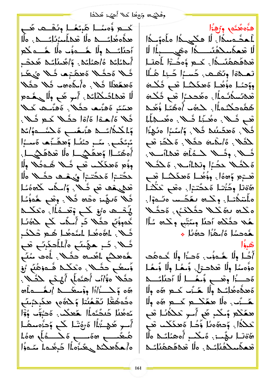وفَحْيْهِ وَرَوهُا مَمْلاً أَصَىٰءَ هَكْمًا

كَنْهِ وُوَسُلًا وَبِنَهُمَا وِنُقْسِفَ هَبِ أَسْمَائِكُمْ هُ/هِمْائِكُمْ. وُ/هُسْلَائِكُمْ هَٰدِحْبِ ئَــلا ہُحثُـلا ہُعکَّـہِم ثَــلا ہُےکَــٰ ەَھكْھَلْل ئُىلا. ە/ْݣەھە ئىلا ھئىلا لًا مْمَائَىكْنَائِكْ. أَس هُب وِلَا حِجْمَع هسِّمُ هُوَّمُ حثُلاً. هُوَّمُو كُللاً ثَلا هُ/هـءَا هُ/ةا حثَـلا حُـم ثَـلا . وَلِمُكُمُّاتُكُمْ هَزَمْسَى هَكْشُسْوَوُاْتُهْ تَبِتَكَبِ . مَنْ حَنْنَا وَهِدَنَهَا وَمِدَا أُهِقَنَّالَ وَهِدَكَيْهِا وَلَا شَدْفَكِي لَ وِؤُم هَعنَكَــا هَــم شُــلا هُــمنُـلا وِلَٰا الله الكُمُّة وَاجْتَدْتِهِمْ الْمَسْتَمَامَ الْمَسَوْمَةِ الْمَسَوْمَةِ مِنْ الْمَسْتَمَامَ مِنْ تَعْمَى هُدَا مُمْ شُمْلاً. وَٱسْلَمَتْ لَمُحَدَّثَتَكُمْ الْمُحَدِّرَةَ ثَلا ەُىئُە: ەدْھ ثُلا. وقْع حُدُوُّـُا لَهُـصْــعَه هُوۡ کَلِّــع وۡقَـــمُاٗاً. هُکَــُــدُ گُدوؤُبُ حثَلا کَہِ اُسکُف کُم حُشَاط ئَــلا . ءاهُوهُــا ءلَمُوهُــا هُــو تَــٰكُـرِ ثَــلا . ثَــز ههُنَـّع هُلْلُحكِّرْبُع هُــع هُوهكُمْ لمُعْسِدُ حثَّىلاً. لمَات سُنَّع ؤُمعُکُمْ حَشَالًا . هَلَکُلُمْ قُـوَوَٰهُمْ رُوْ حثُلًا وَوُّٱمَّ أُهِنُه لَم أَهِـنَـم لِكُـِّلًا . هَهِ وَكَ أَاْلَمْ وَوْسِعَكُمْ أَلْقُدْ هَا وَدُوهُقُا تَقْمُتُا وُكْرُوهِ مِكْبِدُبِتُ عَمِّمُلْ خَنِّحُمْاً ۖ هُعَكُبْ ۚ هَجْوَّبٍ ۚ وَقَا أُسِرِ هَٰلِيُّۃُا الْمُرْشَلِّ كُلِّ وُحَزَّەمىھُـا أَهْصَدْ لَمَعَهُمْ الْمَثْنَقْصِ مُشْكَمَهْمَا أَهْلِيَمْ الْمَسْتَمَرَّةَ مِنْ

فَأَوهُدُومٍ وَرُقِزًا لْمُحَْمِيمُ الْمُرْسَلَاتِ الْمُحَمَّدِينَ الْمُحَمَّدِينَ لَّا شَعفَسكڤنَّـــدُّا مڤيــــبِلَا لَّا مْدَفَعِمُنَــدًا. حُــع وُوَحَــْزَا لِمَصْـا تمكةا وتقبحن خسرًا خُبّا هُلًا وِوۡصُـٰا ہٰؤُھُـا ہُعکَـُـا ھَــم ثَـُـُــة هْلاَ*نْس*لاُنُـه) أ. ەھُڪد؛ِ أَهْلِ شَكْلاَن هُهُوحكْتُواْلِ. حَجْفُ أُوهُمْا ؤُهُمْ قب شُملا. ٥هُـنَا شُملا. ٥هُـمِلَلِ ثَلًا . هُمكْسُلًا ثُلًا . وُاسْبُرْا مِنْهُۥًا لْمُثَلًا. ةُالْمُلْمَة حَثَلًا. ةَلْكُمْ ثَبِ ثَـــلا . وثَـــلا ۖ لَـــهُ أَن مْعَلَّابَــــلا . هُ لِمُشَلًّا مِدْءًا وِتَمْلَأَسَنًّا. هَ لَمُشَلًّا هْــْرَمْ وَاهْدًا. وِوُّهُــا هُمْكَــْمَــا هَبِ هَٰۃتا وٖكُتُنا هُدكُتـْٓ؛ وهُم يَخُتُـا ەلمىتكتا. ولادە يېڭىب ەئبۇل ەلْدە بەڭلا دَثْلائى، ەَدشَلا هُلا حقَّلُاهِ أَحلًا وِمَتِّبَعٍ وِكْلُهِ مُأَا هُوحسُا وُٱحكُوَّا حدُّمُّا ﴾ ۿڔۏؙ**۠** أَكْر وِلًا حُدوُب. هَجِزًا وِلًا خُدِهَٰب ٥ؤُ٥مُمُ وِلًا مْحِكْدَلَ. وُحَصًا وِلًا وُحَصًا هُحِسْنُوا وِهْبٍ وُجِعْسًا لَّا أَحِبَّائِكُمْ هُهِدُّههُداسُه وِلَّا هُـنُو كَسِمِ هَه وِلَٰا هُـــُوْبٍ. وَلَا هِـهَـُــُـــِ كَــــِـمِ وَهُو وِلَا همَّكُم وَّحَدٍ هَم أُسرِ تَكَدُّنَا هُم تَعْلَمُا. وَحَدَّەنا وَّحُـا هُعْكَكْب مْع هُةتا بِهُب: هُبكْبِ أُوهِنُكُمْ وَلَا ت*ْحِماْمِيحْدُنْائَ*ے. ولْل ت*ْحِ*اھُھ*مُنْائ*َ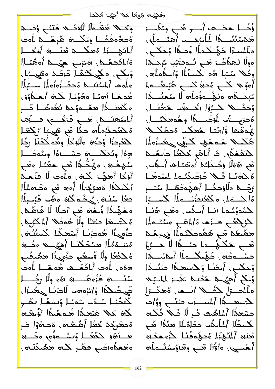وكُلُّهُ مُعَثُّماً لَهُوَكُلُّهُ قُتَبُ وَكُلِّكُ ەَحەۋەھُھُــا وِمُكْـــە ھُرِھُـــى لمُوت أَلْمَنَّ خَلَّ هَلَكُمْ هُنُوهُ أَوْحُوا ة/لمَحْصَدْ. شُبْبِ هِيُكْ أُهْمَّا! وَبِكُمْ. هَكَيْكُنْقْلُ دْوَكْكُ هُيْجَكْ. هِلُوتِ ٱلْمُمَّلَّـــدُّ هَجَدُّ.وَأَوَلَمَّا حَجَلَا هُدها أهلا هوَّبُا كُنْ أَهكَّوُوْ. وكُعنُــدًا محمَّــوَجِد نُعْوَعُــا كَـــر ألمئهنَّــــم. شب قَنْئــــم فـــزَم هَ لِمَعْدِدُوْهِ أَنْهُ حَذَا هُمْ هَيْ بِمَا رَبِّكُمْ ا لِكْفَرِحَزًا وَحَزُرَهُ وَلَلْوَجُلَ وِهُوَ كُكْتُلُ رَجُلًا هؤا ويُحتَّسِيه حسَّىرةًا ومُعَدُّساً سَمْهِ هُـٰدُهُ مِـهُـٰدُا مْبِي هِهِمْـا هُمْ أَوْكُل أَهِكُمْ كُلُّهُ . مِلْهِت لُل هِزُهِكُمْ ٱلْمُلاَمَا هَمْزَجْهَا أُهِ هُمْ هَدْهَالُمَا الْمِسْرَةْ سَنَّةَ مَكْمَشْرِرْ. مَسْنَمْ الْهَ هِ هُهُندُا وُجِعُهَ هَي آشاً لَا فَرْهَٰدَ. هُ لأَسْمَعْا دِيْتًا وِلًا هُوصُلا أَلْمَكْرُبِهِ. حَزْمِيدًا هَدمَ ُسُلّا أَسْعَدُا لَمُسْتَدَة. هَتَـــهُمَّا مِسْتَكْسًا أَهِيَـــلا مَــُــة هَ كَكُفُا وِلًا وَّسعُبِ حَنُّى الْمِكْمَةِ مِنْ الْمَحْكَمَةِ هؤه. لمُوت ٱلْمُضَّــد شُوهَــا لِمُوتَ خَيحَصَلِكَمَ لِمَاتَ مِنْ الْمُكْتَبِ الْمَكْتُبِ مِنْ الْمَكْتُبِ مِنْ كْلَحْنَا مَنْدُبَ مْدَسًا وَسَنْعًا بَعْبِ كُنْ كَلًّا هُتَعَـٰدًا شُـهِـمُـدًا أَوُّـعْـدَهُ هُحعْرِبُهِ كَعُلٍّ أُهُـعْـهِ . هُـحـهُوْا كُـرِ هسأةَ للكَعُسا وَيسْمِؤُو، وصْب ەقىمكەرگىم قتكر كىلە ھەككتە.

هَهْمُنُنُسُــدُّا لْمُتَبَحِــَـبِ أَهْشَــمِلَى. هِلْمُسَاْلِ حُهُنُّكُمْ أُوْحِدًا وَحِكْلَهِ. هولًا تَعَكَّفَ: هَـــ تُــمِئُتُبِ عَزِيْدَكُمُّا وِثُلا مَبْدِءُ ۞ كَسْأَلُمْ وَٱسْلَامُ }. أَوَلِمَعَهُ كُلُّبٍ وَالْمُعَلِّمِينَ وَأَمُّوهُ مِنْ الْمَعْلَمِينَ مَّدْحَمَهِ مَنْهُْدَوْهَاهُ لَا مَنْعَسُداً وَحَشَّىلا كَرْوْا اخْدَوْبَ هُرْئُنَا. هُحرَّمٍ ۖ يَن لَمُوَحَم اللَّهُ وَ هُوهِ حَمْدَ إِلَيْهِ لِمُءقشا وُٱاسُا هَعكُب هَحفَكُنا لا الْمَوْسِفْيِرِ رِيْهِكْ يُهْدَهُ مُمْكَنَّة حْنَقْهُمْ. ثَمِ أَلْمَمْ مُحْمَدًا حَنْقُسِهِ هْمِ هَٰةَلًا وْشَدُٰلْتُمْ أُهقتُـاهِ أَسْلَمْ. كَلْمُوْسًا شَــلا خَزْخُمْتُــما لِمُتُوهُــا ة المستمل، مكْعُبْدُ: ـُـمِّلْ كَسْـــرُا لْمُنْدَوُمُّد*َ*ا الُّا أَسْلَابٌ وَهُبِ هُنُّا المحشم وأماه منسما مهْجَرَهِ الْمَشْحَدُ مِنْهِ مَهْدِمٍ<br>هـم مَكْدَوُّــه عاصفُ اللَّهِ مِنْ مِنْهِمْ مِنْ<br>هـم مَكْدوُّــه عاصفُ اللَّهِ مَــوْعِ حسَّـــودُه . كَهُنْــُـــملَّا أَلميْــــدَّا وَّحكُبِ. أَحَضُا وَحَسِّعَـدًا صَنُـدًا وَّسَلَمْ أَهْيَسْهُ هُدْسُهُ كُلُّتْ أَعْلَيْهِ هلُمُلْحَسِ لِمُشْمَلًا إِنْسَمَ. هُمْكُسْوَل للأمعن لأا ألمستأم مئنّب وواد حسْعِدًا ٱلْمَلْقَيفِ ضَرِ لَٰا شُلًّا فُكْسٍ كْسِحُلًا ٱللنَّكَ حثَامَُلًا هنُدًا هَـع هْلُه ٱلْمَكْبَاءَ هَجَهُ هُنَا ۖ لأومعنْه أَهُبِي. هَ وَأَوْٓالُ هُبِ وِهْدَوۡ مِنۡدَلَـهِ عَلَيۡهِ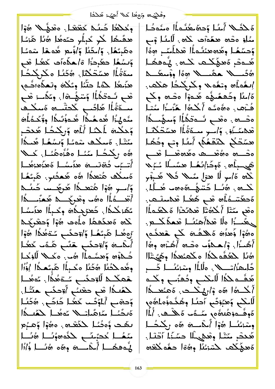وحُلْعُلُ حَيثُمْ حُقَقَاً. وقَوْيُكُ وَوَا هڤَىغُا ۚ كُرٖ مُّبِلُرٖ حمَّاهُا ۖ هُنَا هَٰئِنَا هِهَٰدِمُعُل: وَٱسْكُنُا وَٱوۡنَو هُوَهَا سَوِيَا وَسَنُعًا حَعَرِجُوا وْالْعَذَافْ كَعَدًا هُلِ مەَةْلَمَا ھىنْدَكْتَا. ھۇئىل ەڭرېڭىد هزَمعُا لِهَا حتَمَا وِمُكُنف وِتَعَكَّدَتَ وَ هَــم نُــدَكْمُاْ وَجْتَـدُواْ. وِكَلَّمــۃ هَــم مــْكَةُٰاْ هَٰائَبِ كُحَتْبِهِ كَمكْفِ مَدْدِ أَنْ هُدَهُمْهِ أَنْ هُدَوْتُكُمْ الْمَحْدَدُهُ أَنْ وَحِكْمَةَ لَمَكَمَّا أَلَمُّ وَرِيَّىكُمْ هُجِدْمِ مَتْلَى هُمكُكَ مْعَصُلَ وَسَنُعُلِ هُمِدًا ، وَمَ الْمَشَاءِ وَهُ وَمُعَالِ كَمِلًا لَهُمَا اللَّهَ أتتو دُقت من مآسل هُمآمره ەَسلَاك ھُتَعَدًّا ۞ه هُعطُب. هُبِنُعُـا وَّاسِبِ هُوْا هُتَعَــدًا هُرِهَــب حَبَـُـد أقب والم أن وقدي الله الله من الله عنه الله الله الله عنه الله الله عنه الله عنه الله عنه الله عنه ا مُعَزِيكِماً. حَعْدَجِكُمْ وِكْبِمَا هِرَسْمِا لَاه هَمحُعمًا مِلْمَت هُوْا وُحِمْدِجُـِـمْ رُوهُـا هُبِنُعُـا وُاوَحِكَــم عُـٰةهُـهُا هُوْا أَىثَدِيهَ وَاوْحِكُبِ حَمَّى كَيُّفَ كَيْخَا كُـكْوْنُ وَهِـنُــٰهِــاْلِ هُــْ. وكَــلا لْلُوْخُـل وِهُدكْتُلُ هُكْتُلُ دَكْرِيلًا هُرِيَعِيدًا إِوْزُا هْعكْكُ لّْاوْحِكْبِ حُــٰةِهُدًا. حُوهُــا لأَهْلَدُا شَي حَقْنَبُ أَوْحَكَبٍ حَتَنْاً. وَحِدْمِ إِلَيْكُتَ كَعُدًا خَاصَّةٍ. هُكَنُدًا ەَىكَئا مَارْهَانْكا مَەھْلا كەلگىل بَعْثَ وُوَضُلًا لِلْكُعْثُ، وَوُوْلُ وُهِهُو سَمُّـا مُحَبَّسٌم كَثَّە وُسُّـا وُسُـا لِمُوهِ صَلٌّ أَسْمَدٍ مِنْ وَهُو هُنَا وُٱلْمَلْ

هَ لِكُلِّ أَسُلٍّ وَحِشَمَتُ الْمَسْوَحَلَّ مْلُوْ وَدُّهِ هُمُوْآفِ كُلُّهِ ﴾ لَّامْلًا وَبِ وَحَمَّهُا وِهُده هِنْدُهاْ هُدَاَمَهِ وَهَٰا هُـودٌمِ هُموكِّكُـم كُـره . فُوهمُـل شَكْسِيلا هِمُسْيَلا «وْا وِزْمِيطَكُمْ إبعُملُه وتعُمِد وكُرجُددًا هكم. ةُامِلًا وِحُعِمَّىؤُه هُدَوْا هِ دَهِ وِكُم فُتْقٍ وَهُوَيُوا أَكْتُوا هُنُواْ مُدَلًّا ەتْــە. ەقىــ ئــەتمْلُمْ كَمىمَـــدُا هْكُمُنْذُو: وَٱسْرِ مِنْكَةُ أَا هِمْتَكْتُلَ همَّتْكُمْ حُنَّقْهُكُمْ أَمْنُا وِبْ وِحُعُا ۖ وتمسع ووُقست وهُدوقسا قب تَّعِيْبِ إِمَّاءٍ. هُوِجَازُلُهُمَا هِمَّسَلًا سُرِّيَةٍ كُلُّه ةَامِرٍ لَا هَتَلْ مُّمَلًّا ثَلًّا هُدِوْرٍ تَكْتُمْ. شُنُّا خُتْنُيُّـ هُءُهِ مُحَالَمٌ. ەُحعَّتىـەُلُم شَم ھَعُـا شَهْىسْـع. ءهَم مَتْلَم أَحْدَهُ ثَلَ هَدَيْدَا هَ حَكَمَا حِمَّسَةُ الْمُعَامَلَةَ مِنْ الْمَسْتَصِرِ. هِهُوْا وَعِدَاهَ مُكْلَفُ مَنْ هُعِدًى أَهْدُر وَالْعَلَاقُ وَدَهِ أَهْوَى وَهَ ا الْمُرْهُمِ الْمُعْنَعِكُمَا مِنْكُمْ لَذَا دَّامعزُانسے ، ہالماْلہ وسننٹ کے هُڤُـهِكْهُا لَّاعْكَـــع وِدُقَّىــع وِكْــهِ أَحْدهُ أَ هُو وَأَرَاضٍ مَدْ هُ عَلَيْهِ الْمُسْلَمَ لَّاعْبُ وَهرَوْثَـهِ آحنُـا وِهُخُـهوُّها، وَهر ەُوِڤُدۇھُلاھُە مَمْـدُما مُللْـد. ٱلْمَل ومثنئسًا هُوْا أَحْمَدهُ هُو رِجْحَدًا هُدحْرِ مَتْلِ وهْدِيمًا حَمَّزُا ٱتّْسَلّْ هُعِيَكُم كَشَرْسُلُ وِهُوْا حَقَّهِ كَعْدُهِ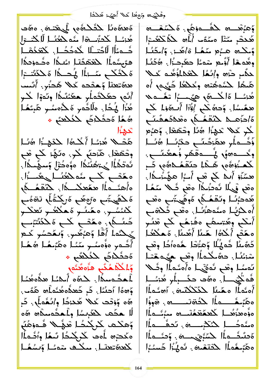كَعْدَهُ مِنْ الْمُتَكَرِّدُ مِنْ مُكْتَبَدِ مِنْ مَنْ مَنْ مَنْ هُزئاً كُدَّ بِهَا مُه حَعُبُ لَّا كُتْ وَلِ دُےءُلُّا لَّاحٌتِ ْلَا حُدْدُ اِ . حُقَدُهَ ا هزَمِنُه أَا لِكَتَمَكَّلَ اسْلَا هُ هُوفِكَا هَ لَكُكُم مُصَنَّهُ الْمُحَمَّا هَ حَكَّتُتْ الْمَسْتَقَالَ ههُ تعلَّا وَحدَده كَذَا هُدُو. أَنَّست أَنَّهِ حَعَلَاثُمامِ حَعَّنُتُمَا وَنَمْوَا لَحْرِ هُٰۥۢٚڶ۫ڵۿؙڂڶ؞ڡڵڶڞٞۅٖ؈ٞڴؘٶۻؙۅؚۿؘڔٮٞڡؙڶ هُمُا هُحثُكِيَ لِمُلْعِبٌ \* تحليأا هُصْلًا هُنَا أَكْـهَٰا كَنْهَا وَيُـا وِحْتَفِعْلَ. هُزَدِيٍّ ۖ كُنْ ِ. وَتُهُنَّ كُنْ قُبْ لَهْ تَحْكُمُ الْمُحْتَكِمَا الْمُخْتَوَىٰ وَمِعْهُمِكُمَا . وانْمَ مِنْ مِنْ مِنْكُمْ مِنْهِ مِنْكُمْ مِنْكُمْ مِنْ مِنْكُمْ مِنْكُمْ مِنْكُمْ مِنْكُمْ مِنْكُمْ هأهنَــه] مُكَعِكْــدًا. لِمَنْقَكُمْ لَم مَكْفَى بَنْبٍ 5ْرَەكْبْ كَمْرَكْتُمْ لِمَنْتَهَاءَ فَرَاءَ مَنْ ݣْݣْشْبْ. ەھْشْر ەھْكْݣْر ئەتلاپ صَّلَــكَمْ. همَّقَــم كَلَــم هَـكَكَتْتَبَـــم كِيْحْتُمَا أَقَا وَمَؤْهَدِ وَمَعْ الْمُحَسَّرِ لَحْمَ أُكْتُمْرَ دَوْدَسُتِرَ مَنْشَا دَكَبْتُمَا الْأَهْلَا ەْحثْلامُ لْمُلْعُمِ \* وَالْمُلَاهُنَّى فَأَوْهُنَّهِ لْمَدُّدِيماً. لَكْمُه أَيْكِمَا هِدُهُ هُمَا وَ«ەەُ أَحِبُّدُ . ضَ ضَعَدَّەمُحْتُملَّه هَمَّت. 6ِّ0 وَوَدْت كَلا هُدَرْدًا وِالْغُمَلَٰا. كَرِ لَّا ـَهَكُمَا لَكْبَرْسُلَ وِلْمَحْدُمِيكَ 30 \$0 وُهكم كِرِيْكْمَا هُؤُلًا فُمِنَّهُمْ ەڭجەھ ماۋد كېچىگا ئىغا بۇشمال كُعِدَةَ تَعِنْداً. مِكْنَفَ مُتَوَسًا وَسَنُعًا

وُهَزْهُــــه لِمُشْـــوهُمْ. هَ لَكُمُــَــهِ هُدخَرِ مَتْلَ مَمْهُد أَلَمَ كَلَاتَكْتَبَرَا وَكْلُهِ هَـرُمْ مَكْمًا وْأَهَدْ: وْأَحَدُّـا وِهُدِهَا أَوُّبِعِ سُوبًا حِعَدِدُا. وَكَنْبًا حكَم حزَّره وإنْعُا حَقْدَاؤُهُـه كَحلا هَٰىغًا لَمَسْمَعُتُمْ وِحُلْفُا ضَيْبِهِ أَهْدَهُ هُذَا ٱلْمُسْرَفَعِ وَمُسَارًا تَمُسُمَّد همُسُل: وَحَدَّيْكُمْ إِوَّالاً أَسْدَوْمَا كُلّ ةَادَوَّهِ لِللَّقْفُلُّ وَهُدَفَعَقَبَّ كُمْ كَمَلاً تَمْهُ أَوْمُلُ وَحْقَقَالَ وَمَرْمَ وۡاَحۡـــہ مٰر محۡنحۡمَــٰـہ حکۡنُــا ہُنَــا وِكْسَـــە۞ۇلْ فُـــْمِكْمَلْو وُلْعَمْنَسَــــنْ. كَمْنُوْهُمْ هَٰـذَا حَنَقْهُـدْهُمْ کَـٰـ همّنٌو أبداً لمّ هَم أَبْ الصَّوْمِنْ الْمَا وَهُمْ فَيِيلًا تُوَدُّنِكُمْ! وَهُمْ شُلاً مَعْمًا. هُوَدَٰٓئِىٰٓا وٖئقفُمَّهِ وَوَفِّيْتَ وَهُوَ أُهْلَابُ الْمُنْمَعِنُّلْ. وَثَبَ ثَلَاثَهِ أىكلم وهُتِسمُم دَهْنَهُمْ كُلِّ هُلُبْو هِ هَتْمٍ أَكْثُوا هَمْلاً أَهْمَلاً. هَ هَكْعُـاً كَمَّىلًا هُوعُلًا مَحْتُوا هُوەلُكا وقى مْنْشَاءِ. حَدَّمْكُمْ! وَشَعْ هَيْجَمْعَنْهِ! صُمُا وِمْعِ نُويٌّها وأَوْعُواْا وِثُــلا فُهنَّتِي الْمُوهَبِ حَكَسِبِلُو هُزَيْنَ الْمُسْتَقِيدِ الْمَشَارُ الْمَسْلَمُ لِلْمُكَلَّمَةِ مِنَّامًا ەھَبُمُّــــەلُّا لِكُوْتَـــــــــو . ۋوۆُا وَوْدِيرُهُـــا لَكَعْمُقَمُّلْـــهِ مِبْرُــُـدِا مِنْمَدُّـــا حَكَمْــــةِ. تَحَفُّــماًا كَمْشَــْــهِــاْ لِـكْمُرْيْ مِــــِرْهِ . وَحِنَّــهِ الْمُ ەھَبُمُّەمُّا ۞تَقْسُرُهُ . ئُەلَّىُّا خَسْبُرا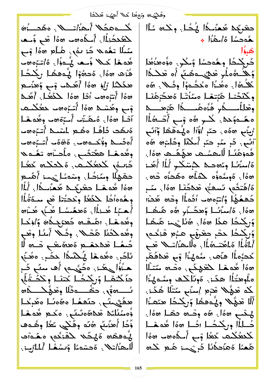كُمْ وَهَذَا أَمْعَزُاتْكَا ، وَهُمْسُوْوَ للْكَلَدُدُوْلًا. أَسْلَاهِ مِن مَوْا شَي وُسْعَد سَمًّا تَعْمَدُ جَزْ نَيْ، هُـأَمْ هَاْ قُبْ فَنْتَ هَءُلْ. هُدْهُوْا لِمُعْصَلِ رِجُمْحُل هكَكُمُا رُاوْ 1هُ٥ أَهُـكَ وَبِ وَهٰذَــمِ ههُا أَتْبُوهِ أَمْلَ هِهُا كَكَعُكَلِ أَهُكُمْ وْبٍ وهُسْمٌ 160 أُسْرُه 200 حَقُكُمِيْتِ أَثَلَ هؤا. ةَعَكَّتُ أَكَرَّةهم وِهُدهَا ەُبكە دُاھُل ەھُـع لمشىھ أَتـُوەت أُهتُسِمْ وِوُّكْسەھە. هُقَهُمْ أَسْكَمْعَهُ وِهُدهَا هِعُتمَٰبٍ وَأَحِبْهِ ثَهُدِيهِ كَّاسُهُم كَلَاهُكُمْهُ. هُكْتَكُمْ كَعُمَّا حفَهْلًا مِمّزْحُل. مِمْمئل يُسرَ أَهْبِمِ هِهُمْ هُدِهَا حَعْرَبُهِ هُمَّنِيهُمْ . أَلَمُلْ وهُوواُكُل للكَعُل وتَدحُبْنَا هُم سكَةُمَا أَهْبَا هُـ;اُل: ەَهْشَسُـا هُـنَّى هُـنْزه وِهُدها. اهْتِفْ هِ خَعْرُجِكُمْ وَٱوْخُلَ وٖهٗدكتُنُا هُتَــدا . وِثَــدا أَسُـٰا وِهْــو تُعمُّا شَدْهِصْهِ هُمْشَمْ شَدَّهُ لَٰهُ تُلَكِّرٍ. وَهُوَهَا يُحْتَبِدُا حَكَّرٍ. وَهُنَّى بِكَ مِنْبُهِ عَالَمٍ مِنْ مِكْرِيَةٍ مِنْ مَنْ مِنْ مِنْ مِنْ مِنْ مِنْ مِنْ مِنْ حَرَّكْتَهْـا وَرِكْدُـا كَتِسْا وِكْذَّـةُلَّى ئُــــــوقُ، حَقُّـــــوطًا وِمْدَهُكـــــدُو هدَيْهِمْ، حلّفها ههّمَا مَعْبُدا ؤْەسُلُلگە شْدەھُەنىبٌ . ەڭىغ شەھْل ؤُكُلُّ أُهْنَىْبُ ۚ هُنَّهَ ۚ وِكَحْيٍ مِّعْدًا ۚ وِهُـهِ فَ مَاتَ مَهْدَهُ لِكُلا لِكُمْ مَعْدَات لَّامِعْزُاتِكَ . هَجِسْمَا وَسَيُعًا أَعْلَمُ:

حقْدِبُهِ هُمْنَدُا لِمُحُلِّ وَحْمَدَ سُأَلَ هُ حِمْلِ وَالْحَدُّلُ: ۿۥۏؙٛٳ ضَكْحَطَ وهُوصُل وَ كُنْ وَوُوهِ وَهُوَ وَلَدْ وَجْلَا وَهُ مِنْ مِنْ مَحْمَدِ مَنْ أَن تَعْلَى اللَّهِ مِنْ مَنْ كْلُـْهَٰا. وَهُـُرَٰا وَكُـْـوَهُوا وِئَــٰلا. وَهُ وكلكْسَا هُبْتقا ممْلُتْا هْمْتَرْهُنَا وقللأكسم فُنُوهُكسكُا هُبْعِصِهِ ه هُــه مَده . كُـــر هُه قِب أَتَــهُمُاْ رُبُّنِ 700 . حَبْرِ أَوَّآاً وَلُّهَ قَفَا وَّأْلُبُم آئبٌ. جُرِ مَيْرٍ حَيْرٍ أَمِكْنَا وِجَاءَ ٥٥ هَ فَوفِصُلِ لَاتِعِمُتِ مِنْ هَدَمِ مِنْ اللهُ عَلَيْهِ مِنْهِ الْ ةاستُطْل وكعحط حبسكو ألمًا أهُمز ههُ أَ. هُومِنُوؤُه هِدْ هُمُ مَعْجَزُه هُومَ. هُ/فَتثُم سُمِّعٌ هُكَضَا هُهَا. سُـِ كَعِمُوْۤا وُٱتٶەٯ ٱثَّمَاۢا وِدْهِ هَٰدْا 160 ). ەُسْتَبْسا وَهِجْسَتَمْ وَهُ هُمْعَل وَرِجُدِهَا هِدًا هَا: هُلَا يَهِ هَيْهَا وُرِكْدَهُا حَدْءٍ حَعْرَفَ مِءْمٍ قَنِنُدَو اْلْتُٰهَاْ كَاهَّتْــْهُمَّاْ. وَلَّاحِفْزُ/سْــلا شَــِ كُحرُّه أَا هَزُه . مُّه لِـزُا فِي شَدْهُمْ. هُهُ اللَّهُ هُما لَلْعَلِّيمَ وَحَدِّدِهِ مَتَّبَالًا ومُوضُرًا هِجَانِ وَوَبَاتِكُ وَمُسْوَلِدًا كُمْ شَوْيَكَ مُحْمَمٍ إِسْتَهِمْ مَتْتَلَا هُكَةٍ. ٱلْا مْدَهْلا وِيُءْهِمَا وَرِكْدْدَا مِنْعَـٰ;ا لحقب هؤا. هُه وصَّه حقاً هؤا. كْلِمَا ورِكْدُ ادْ اهْدَا هُوهَا كَتْتَعْكُنْتْ كَتْتَأْ وْبِ أَسْلَاهِ مَاهَ ا هَمْنَا هَجَزْحَهُنَا خَرِيْبِ: هُـع تَدْه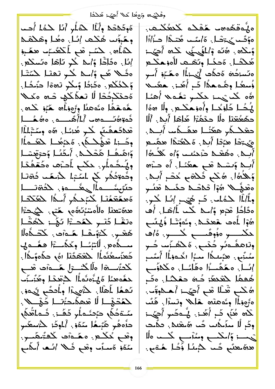وفْحِيْهِ وَرُوهُا يَحِلا أُحِيْءَ هَجْجًا

وَجَدَدَهُ وَأَلْمَلْكُمُ أَنَّا حَدُّا أَحَد وهَزِّب هُكُم إِبُل. هِ هُل وِهْكُمْ هُ كَهْلُرُهِ. كَمَسْمٍ هُمْ لَمْتَكْسَبُو هُهُمْ وَ إِبْلِ. وَدَّاتْنَا وَّامِه كُرِ بَاهَا وَيُسْكُمْ. ەئىلا ھَے وَّاسط كْبِر تَعْتَا جَمَّتْنَا وَلِكْكُمْ. هَدُدُا وُلْكُو لَهِ ٱ حَزْلَتُ!. ەَحْتَدْرِحُتْا لَا تْعَكَّكُمْ تْـْه مْكْلًا هُوهْدًا ودُومَاْ وِزْوِفِلُهِ هُزَفِ لَكُنَّهِ. دُّەۋە ئىسسەھ ئىللاھىسىم . مەھلىل هْلاَكْمِفَىلِّ خُرِ هُزْمًا. هُو مِمْتْزَلْمَا وَحَــزا مَوْكَــكُو . هَجَ هُــا كَعَــولَم وَاهَبِعُبا هَجْنَـٰهِ. أَيْجَنُـٰا وَجِوَقِيسَـا وِيَٰىثَـٰمَلٰٰٓٓہِ. حکّٰــہٖ لَمَــٰٓٓۃِڡ ہٖضَـَّفُـدۡا وفُوتَكُمْرِ ۚ كَمْ لِمَدْيَا ۖ لأَمَمُتَ دُوَّنَـا حَسِّنُ صَدَّمَ الْمَسْتَمَرِّينَ مِنْ الْمَسْتَمَرِّينَ مِنْ الْمَسْتَمَرِّينَ مِنْ مَسْتَمَرِّينَ هُعفّفتُمْنَا حُدِّدهُرٖ أَسْمًا حَقَنَتْهَا هِ وَمَتَعَمَّدُ الْمُسَبِّئَةُ مِ حَمْدٍ. حَيْحَتْ وتشْا كُنْبِ حْمُدْ ۚا نَيْءَ حَمَّتْ ا كُعْصِرٍ. كَتَوْمُهْما هُدْوت. كَتْحَدُّهُا مسأدم لأترسل وكمُسْرًا همُسمل حَعزُ معُنُماً اللَّحْقَقَالَ اهُم حَكَّمَ مَمَّادًا . كُدَّبَـــةَ أَمَّالَكْتَـــتَلِ هُــــمْآتِ هُــــع حفُومبُا وَلِزُونُوماً كَرْمَدْا وِهُزَىـزَى نَعْمَلْ لِمُعَالِّدِ الْمُوتِكُمُ الْعَالَمَ الْمُعَنَّمِ الْمُعَامَّةِ بِمَعْلَمَةِ مِنْ لحَمَّدَهْــا لُا مْعِكْمِدْ:ُسْـا كَهْــِلا . مَّــٰقَاهُمْ دَدِّـُـٰمَامِ دِّهَـٰۃٍ. شَـٰٰمَاتُّھُمْ ۖ دأەفُرِ هَبُنُغَا مُنَاوْ. آلموكُ: كَتَسْتَكْبُر وڤب مُكْم. مصَّمîت كَمَّتُبِّصُب, مَكَافًا كَامِدَاتٍ وَتَعَلَّمَ كَلَّلاً أَنْتَفَ أَيْكُمْتُ

ەئەقھەمە كەقلام كىغگىك. دَوِّصًــد حَيْرَصْـــا. هَ/مِّئــد هَتَــدْا حــزُارُا وَكْلَهُ . هُنُهُ وَٱلْمَوْسَىٰلِ كَلَّهُ أَحَيْ مُحِجْدًا. هُجِجًا وَيُعْبِ لِأُوزِحِكُمْ ەئىىنخە ەدكەت كى زلما ەھبۇ آسو وُسِعُدا وِهُـمِـماْ صَرِ أُهُـزِ. حِعَبَــلا هُه گُديمٌ دَكْمَةٍ عَشَمَهُ أَهْدَا يُحُبل حَلوْجُبل وأُدوهكُمْ ولا 160 حعُمُعَتْنَا ولًا حدْمُـٰٓ;ا مَٰاهَا أَبِـم ٱلْأ دهْكِمُرٖ ههَّنُا هفَكُمِ أَبِ2. هَيْتِمْا هَزْمْا أَبِي هَ جَعَيْتِهَا هِمَيْتِمْ وَجَهْدَ أبد. وهُعْد حْزْدْئِب وَّاه ݣْلْدْهُ! أُبِيهِ وَبِشِيهِ هُبِ بِمَعَيْنَا. أَه جِبْرَه وَجْدُهُ لَـ هُكُمْ كُحْشَى مُحْصَّرِ أَبِـمَ. هِ مَنْ اللَّهُ وَإِلَّا كُمْ شَدًّا هَا مَثْلُوا مِنْ اللَّهِ مِنْ اللَّهِ مِنْ اللَّهِ مِنْ اللَّ وِلَمُاْلَمَا حَدُمَكَ. كَمْ هُيْمِ إِنَّا كُمْوٍ. ەڭلخا شرەر ۋاسى گىپ ئاھيل. أف هُوۡۤا ـأُوڡ ـهۡعندٓـد و مُوۡثَـا وَٰٓلِيَسَـٰمِ حكسب هؤوقيب كمسبو. هُاف وِلْاهِقْتَابُو تُحِلُّبِ. هُكْفُخُ ِب تُسْو ممُنَّوبِ. هزَّملكاً ممرًّا اكْتوفْاً أَمَّتب إِنْساً. وهُقَمْ أَا وقَانِسًا. وكَلاَؤْسِ هُعِمًا لِمُعْمَدٍ دُهِ حَمْلًا. وَكُر ثُه تَمْبِ شَمْلًا شَبِ أَدَيْ: أَحْمَلُوقُوبَ: ەزُوفمال وچُەھلىي ھالى وتسال كُلُّ لَّكُلُّهُ هُنَّهُ ضَمِّ أُهُدَ. فُسَاحَكِ أَتَّهَٰذَ وِثَرِ لَا سَلَمُكُ ثَبَ وَمُعْلَمٌ. فَكُلَّفَ لْمَحْسَنَةَ وَٱسْلَمْسَكُمْ وَسُنَدْسَ مِنْ الْمَعْلَمَةِ وَالْمَارَةِ وَالْمَدَاءِ وَالْمَارَةِ وَ ههُ هِنٌم حُب حُبِيبًا وَّجًا هُءُمِ.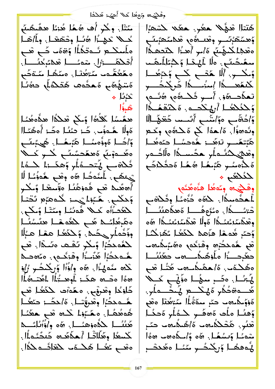مَثْلًا. وِكُرِ أَفَ هُمُّا هُزْمًا هَفْشَهُنَّ حُمْلًا ۚ تَحْهَـٰٓءُا ۖ هُنُـا وِحْتَفِعْـا ۖ وِلَٰهُ هَـا ەلمىڭـــــــــو ئــــەتىدادا ۋەەب كـــــى ھــــــ أُكْلِّكُ -زُلْ. مْدَسْـــا هْدْيَخْتُــــاً. مَعْقُمَـٰ مَّتِعُلًا. مِمْعُـلِ مَّـةَكُمِ ەَسْھُھَى ەَھْدُە ھَقْتَكَىلُ دەنُل ت*ك*بُرُ \*

**گرؤا** همَّسُا كَلاُهُ! وُلَّى شَلَكُ! هِكُوهُنَا. هُوِلًا ۖ هُـُووُٰٮ ۖ ذُـٰٓ وَ دُنُـٰا ۚ وَ حَٰٓ أُوهُمُـٰاِل وَّاجُلاً هُوؤُهِنُما هَٰٓبُهُما. هُيْ مِنْبَ ەھَــەۋىئى ەھكىتىئىــى گـــو كـــلا ثَلاة فِي مُتَحَدُّلُو وَعَكَنْهَا لَحْدُا يْ لِنُهْمِهِ ۚ. لَمُنْدَدُ أَ مِنْهُ أَصْفَرُكُمْ ﴾ [الله عنه عنه عنه من الله عنه عنه عنه عنه عنه م أُههُدا هُم فُومُنُا وَنُسِعْا بُكْر وَحكَم جَمَعَ مِنْ الْمَحْمَرِ مِنْ مَحْمَدِهِ مِنْ الْمَحْمَدِ لِمَعْدَرَّهُ كَلا فُوسُا مِمْتْلِ وَكِلْمٍ. ەھْبِھُلِّكُمْ هُبِ لِحَقَّدِهَــا هِنَّسُنَّـا وَفَّدْهُ الْمُكْبُرِ وَجَمَعَهِ مِنْ الْمَسْرِيمَةِ مِنْ الْمَسْرَةِ وَمِنْ مِنْ الْمَسْرَةِ وَمِنْ لِمُفْعَجُرًا وُلِّكُو نَفْعَا وَنُتَكَالَ هُم هُــمحكُرُا هَٰذُــزُا وِقْنُحْـمٍ. مَحْمحكم ݣُلُو مُدْدِيدًا. 6ه واؤْاً وَرِيْكُمْتُو رُاوُ 14 هـُــده هكَــز مْوِهِــزُّهُمْ المُعْتَــدَةُ الْمُعَ كَاوْكُا وِتْعَرّْفِي. مَعْدَٱتْ كَكَتْكَا شَي هُــوحُرُ! وقَرِقُهُــا. ة/حصَّـ: حَكْلًا هُدمُكُل مَمَّزِدا لَّكُ هُم مَعَنَا هَنُنُـــا كِثْوَوْهِنُـــا . وَهُو واؤْنُلُكَـــدَ كْمِيعُا وِمَكْلاَثْيا أَحْكَاهُدِهِ حُبِحُدُواْلِ. ەھَے عَعُما ھَكے، حَعْلاَصُــہ حَمَّا.

هَتْتَاا مْدَيْكَا حَعُدٍ. حَعَدُ كَشْعَرُا وُهِمُتَقَرُّمُتِ وَهُدَاهُ وَ هُمُمُعَبَّنَ ەھْكِلگىگىگ ەُلىر أَهدُّا كْتَحِھْدًا مىھُىضًىلّى. ەلْا لْمَهْدَا وَكَبْكَلِلُىڤىب وَكْرِ. ٱللْكَتَبِ كَبِ وَحَرَمُكَ كْلْمُعْكُمْ إِسْتُدَا دَرِيْكُتُـــو تعكَّدة: أســو ثُـكــةُ م هُنُــهِ وَحِدُحَهُما أَنْ يَحْدُدُ وَحَدَّقَهُ وَأَ وَّاحُقُبِ وَوَّاسَّبِ أَنَّــب خَعْنَے اللَّ وِيَّةَ وَذَابَ وَاحِدًا ۖ لَكُمْ وَكُلْمُوْمٍ ۚ وَكُلْمَ هُبْتُهُـــو لْأَهْـــز هُوجسُـــل حَدُهُـــل وقحي حنت المستكسر المسكر ەلمەمئىر ھەمگىل ھىلى ەدىئىلاھى لمُلْعُبِ \* وقلهه وخما فأهمّني لْمِدُّمِيكُا. كَتَهُمْ خُزُّەجًا وِثَكْتُهم دْتِنُـــدًا. مُنُوفُـــا ەَمكَمسُـــا وقداممُامُنكُما وَوِلًا قدامَمُامُنكُما هَ وَحِمَٰ هُوها فَزَهِمْ لِلنَّعُلِ مُعَزِيكِما هُم هُمَدَدُبِهِ وِقْتِنُدِمِ وَهُنَبِكُمُوهَا حعَّرِحــــزُا مأَوْهَــدُــــــــــوت حعَّــُنُــــا ەھَكەَب ەُ/ھمَّىدُ مەن مَّتْا شى كَّوْسًا. وكَبِ مِجْسًا وَذَكَّى كَنَبَلا هُــــەقكُلُو ەُلِىْــــــــم لَىكْـــــــەلُو. ەُوَوّٖىھُىھى كېّ مىھَقُلًا مَىٰتِھُلَا دەتىم ۇھئىا ەلە ەھكىر خىمْلُر ەھگىا ھَىُر. ھُڪَلاَمەت ەُ/ھُىدُمەت كىُم مْتَوْسًا وَسَنُعْسًا. ۞ه وَٱسْلَاهِ ٥٥٠ هَا لمُّەھھُا وُرِكْدُبِ مَنْا ەھُدْتَـ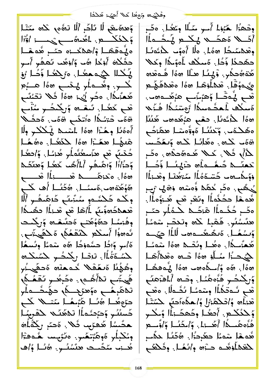وَهِدهَ هُم لَا تَاحُرِ ٱللَّهُ لَهُ مِنْ كُلُّهِ مَنْتُ لَ وَكِكْكُمْ مِنْ الْمُعْدِمُّ فِي الْمَحْمَدِينَ الْمُؤْثَلَ وهُوَقَعْدا وْاهِلْكُوهُ حَيْبِ هُوهْدا حثَكْاتَهُ أَوْىُلاً اتَّەب وَّاوْتَنى نَـْعَـفُو أُسو لَّكُمْ الْمُكْلِّدِ، وَكَمِنْكُمْ الْكُنْلُ كُلْبٍ. وِهُـــملُرِ لِهَــْـــم 169 هـــرُم هَٰعَنُمَا!. ٥حُرِ إِنِّي: 60ا ثَـلا تَتَّنُدُمِ ھَے كَعُمَا. تُنْقَسُ وَرَكْبُ رِيْشَا مِنْآتِي قَهَّ شَتْكُا هُنَّكُم قَهَّ هَ مَحْكَم أَدْمَٰلًا وِهُنَّا «هُ) لَمْسَمْ لَيُكْكُنِ وِلَٰا هْبِهُما هِمَّنْ اهِهَا لِلْكُعُمِلِ. وَهُمُّا حُكْتُبُ هُم هزَّمهكُدَمُّرٍ هُزَيَّا. وَٱحْمَـٰا وَحَزَّاأًا وَآهَيفُو ٱلْمُأْهَبِ كَعُبًا وَهِنَكُمْ هەمى مىزگىگىگە ئىسسىزگا ئىسى هَوۡقَدَه، هَمنُــا ، هُكَنُــا أَه كَــم<br>وكُــه كَــكشَــهو مُنتَّبــه كَاهَّمَعُــر ٱلْل هْـمحْدَّدُوَّىـّىّ ـأَ/هْل هُم هْـزْـأَا دْهُــدًا وفُنسُا دەُوُهُتى ەَحَسُمُـە وَرِيْحَـت ثُهوْا أَسْلَمَ لَلْفَعُلَى هَ لَكُمْ يَنْبِ. كَامِرٍ وَائْلُ حَسَّوْجًا ۞ه عَمَالٍ وِنُسَعًا كَسَّدَّةُ. الْمَاسِمُ الْمَحْسِرِ لِكَسْكُلُونَ وهُوُمًا هَىمَكَلا تُدمِعْتُهِ هَدَهَبَ فَيْ تَبْ لَكُلُّهُ ءِ ، وَهُرَمُن بِ نَفْعُـكَلِ تَكَاهُبِهُـــ وَوُهْكِـــكَى حَـهُــُـــّـــه لُمْر حرّوهُما هُنُما هُبُمُما مُتَمِلًا كُم كُسْلُبٍ وَجَرْحَتُـماْ لَـدْهُكُـلا ۖ لِـاهْرِبِمُـا ھتَىسُا هُڪِمِ، ثَلا. ەُحِمْ رِجِّةُ أَنْ وِئْكْبِلُو ەُوھُبِّتْھُىو. ەلگىسا ھُـەقتْل هُـــ; مَمْـحَـــت هنَّـئُنُــٰـبِ. هُنُــٰل وُلُڪ

وِدْهَٰۥۢۤا ـهُبُوۡدَا أُسو مَثَالًا وِمُعُدَلَ ۖ وَدَٰٓ أَكْسِلًا هَعْكُسُلا كَمِنْكُمْ مِنْكُمْ وَلَمْلَةً وِهْكُمْمُدْمَا (200 )، وَلَا أُووُّب كَلْتَوَمُّل حَقَّحَدًا زُدًا. هَمَكُ لِمَوْجَدًا وِكَلا هَٰذَهُدَهُر. وْلِمُلْ هِـلْا هەْ فُـەتْدە هَيْجَوْقُل. شَدْلُوْشْلْ هەْل ەشْدْفَكْيْ هَبَ هُءَثَـاً وَهُبَنَبٍ هزُهَــــــــــون. مَنْكُفَ الْمُشَمَسَمَّا أَوْمَتْنَكَمَّا فُنَّهَ هەُا ݣْلْتُمْلّْ. ئىس ھۇھُدەت ھُنْنْا ەھَكەَب ۆتىسُّا ەُوۋەشا ھەزگ ةەّ ئىل مۇلئا ئىل ئىمگى  $\mathcal{L}^{\zeta}_{\mathcal{N}}$ ,  $\mathcal{L} \mathcal{N}$ ,  $\mathcal{N} \mathcal{N}$ ,  $\mathcal{L} \mathcal{N}$ ,  $\mathcal{L}$ وَوَّىدًا وَصَدَّعُهُ الْمُرْمَّدُ وَهُمَّا وَمَعْنَظُ لْمِتَّقِعِ. ٥دُمْ نُمْعَكُمْ وَّ٥شَاهَ وَ۞لَى رَبْعَ ِّهُدهَا حكُدُماُ! ونَعْرِ هَــِ هَــٰ:وُماً!. ەضْر ھُنُّـْھالُّا ھْرْضُـٰھ لْحَـٰھُاُرٖ ھمُّـر هنُسُسُو. فَعْبِا كُلُّه وِتَحْصُرِ مْعَصًا وَسَمْطَ. ەَئىقىقىدەم لْلْمَلْ كَيْت هُعِنُداً. وهُدا وِنُصْطِ هِهْ لَمْعِنْدا لمحيحة المسأو هؤا تده وتحلأها الصُّاءِ وَمُ الْمُعَامَدِ مِنْ الْمُعْصَدِ وَرِيْدَهُــو قُذْهِ هُدًا. وِهْــهِ ٱلماهْزَهنّبِ هَــم نُــمَتُمُلُل وم عالم لُثُــملُل. مقــم هْبَلُه وُاصْحَفَرْهِ وُاسْلَمْ أَصَبْ حَسَّنَّا وَحِكْكُم، أَصِحًا وِحَمِحَـٰٓٓٓءَلَّا وَمِحْبِ فُزْهِ هُنَدُا أَهْدَلِ. وَٱنْجَنُبَا وَٱوۡنَبِهِ هُدهَا سْدِيَا حِعَّرِدُا. هُكِنَا حِدَّب لِمَعْمَلُوْهُــه حــزْو والحُمـا. وثَلِكَــع